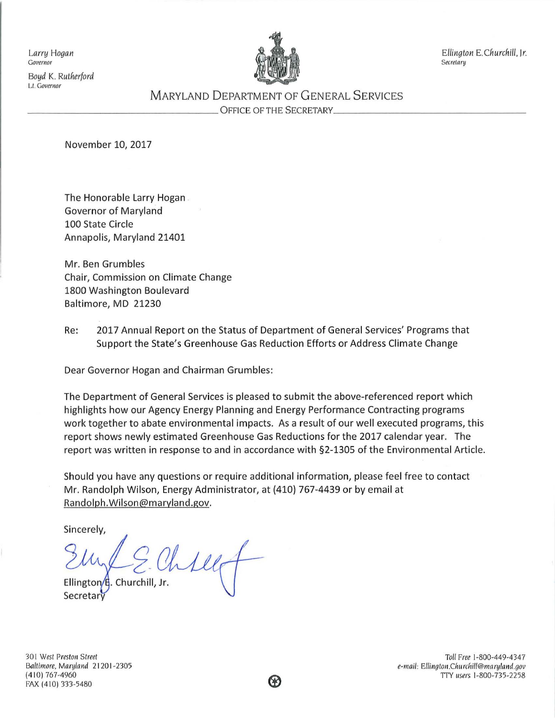*Boyd* K. *Rutherford*  LI. *Governor* 



*Larry Hogan Ellington E.Churchill,* Jr.

# M ARYLAND DEPARTMENT OF G ENERAL S ERVICES \_\_\_\_\_\_\_\_\_\_\_\_\_\_\_\_ OFFICE OF THE SECRETARY \_\_\_\_\_\_\_\_\_\_\_\_\_\_\_ \_

November 10, 2017

The Honorable Larry Hogan Governor of Maryland 100 State Circle Annapolis, Maryland 21401

Mr. Ben Grumbles Chair, Commission on Climate Change 1800 Washington Boulevard Baltimore, MD 21230

Re: 2017 Annual Report on the Status of Department of General Services' Programs that Support the State's Greenhouse Gas Reduction Efforts or Address Climate Change

Dear Governor Hogan and Chairman Grumbles:

The Department of General Services is pleased to submit the above-referenced report which highlights how our Agency Energy Planning and Energy Performance Contracting programs work together to abate environmental impacts. As a result of our well executed programs, this report shows newly estimated Greenhouse Gas Reductions for the 2017 calendar year. The report was written in response to and in accordance with §2-1305 of the Environmental Article.

Should you have any questions or require additional information, please feel free to contact Mr. Randolph Wilson, Energy Administrator, at (410) 767-4439 or by email at Randolph.Wilson@maryland.gov.

Sincerely,

Chillet

Ellington/E. Churchill, Jr. Secreta

301 West Preston Street *Baltimore, Maryland* 21 20 I -2305 (4 10) 767-4960 FAX (410) 333-5480

Toll Free 1-800-449-4 34 7 e-mail: Ellington.Churchill@maryland.gov TI'Y *users* 1-800-735-2258

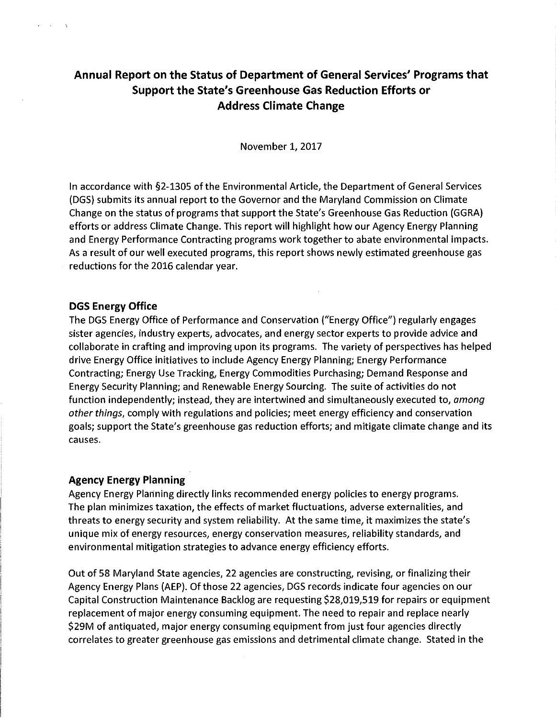# **Annual Report on the Status of Department of General Services' Programs that Support the State's Greenhouse Gas Reduction Efforts or Address Climate Change**

November 1, 2017

In accordance with §2-1305 of the Environmental Article, the Department of General Services (DGS) submits its annual report to the Governor and the Maryland Commission on Climate Change on the status of programs that support the State's Greenhouse Gas Reduction (GGRA) efforts or address Climate Change. This report will highlight how our Agency Energy Planning and Energy Performance Contracting programs work together to abate environmental impacts. As a result of our well executed programs, this report shows newly estimated greenhouse gas reductions for the 2016 calendar year.

## **DGS Energy Office**

**Collection**  $\sim$   $\sim$ 

> The DGS Energy Office of Performance and Conservation ("Energy Office") regularly engages sister agencies, industry experts, advocates, and energy sector experts to provide advice and collaborate in crafting and improving upon its programs. The variety of perspectives has helped drive Energy Office initiatives to include Agency Energy Planning; Energy Performance Contracting; Energy Use Tracking, Energy Commodities Purchasing; Demand Response and Energy Security Planning; and Renewable Energy Sourcing. The suite of activities do not function independently; instead, they are intertwined and simultaneously executed to, *among other things,* comply with regulations and policies; meet energy efficiency and conservation goals; support the State's greenhouse gas reduction efforts; and mitigate climate change and its causes.

# **Agency Energy Planning**

Agency Energy Planning directly links recommended energy policies to energy programs. The plan minimizes taxation, the effects of market fluctuations, adverse externalities, and threats to energy security and system reliability. At the same time, it maximizes the state's unique mix of energy resources, energy conservation measures, reliability standards, and environmental mitigation strategies to advance energy efficiency efforts.

Out of 58 Maryland State agencies, 22 agencies are constructing, revising, or finalizing their Agency Energy Plans (AEP). Of those 22 agencies, DGS records indicate four agencies on our Capital Construction Maintenance Backlog are requesting \$28,019,519 for repairs or equipment replacement of major energy consuming equipment. The need to repair and replace nearly \$29M of antiquated, major energy consuming equipment from just four agencies directly correlates to greater greenhouse gas emissions and detrimental climate change. Stated in the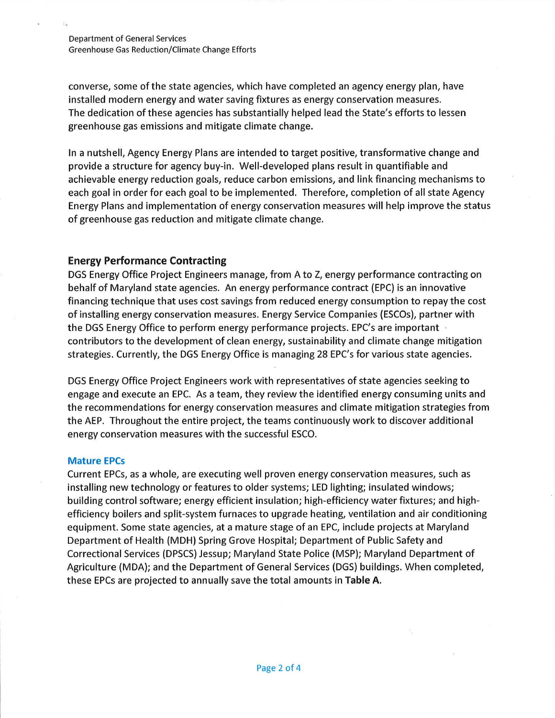Department of General Services Greenhouse Gas Reduction/Climate Change Efforts

converse, some of the state agencies, which have completed an agency energy plan, have installed modern energy and water saving fixtures as energy conservation measures. The dedication of these agencies has substantially helped lead the State's efforts to lessen greenhouse gas emissions and mitigate climate change.

In a nutshell, Agency Energy Plans are intended to target positive, transformative change and provide a structure for agency buy-in. Well-developed plans result in quantifiable and achievable energy reduction goals, reduce carbon emissions, and link financing mechanisms to each goal in order for each goal to be implemented. Therefore, completion of all state Agency Energy Plans and implementation of energy conservation measures will help improve the status of greenhouse gas reduction and mitigate climate change.

## **Energy Performance Contracting**

DGS Energy Office Project Engineers manage, from A to Z, energy performance contracting on behalf of Maryland state agencies. An energy performance contract (EPC) is an innovative financing technique that uses cost savings from reduced energy consumption to repay the cost of installing energy conservation measures. Energy Service Companies {ESCOs), partner with the DGS Energy Office to perform energy performance projects. EPC's are important · contributors to the development of clean energy, sustainability and climate change mitigation strategies. Currently, the DGS Energy Office is managing 28 EPC's for various state agencies.

DGS Energy Office Project Engineers work with representatives of state agencies seeking to engage and execute an EPC. As a team, they review the identified energy consuming units and the recommendations for energy conservation measures and climate mitigation strategies from the AEP. Throughout the entire project, the teams continuously work to discover additional energy conservation measures with the successful ESCO.

#### **Mature EPCs**

Current EPCs, as a whole, are executing well proven energy conservation measures, such as installing new technology or features to older systems; LED lighting; insulated windows; building control software; energy efficient insulation; high-efficiency water fixtures; and highefficiency boilers and split-system furnaces to upgrade heating, ventilation and air conditioning equipment. Some state agencies, at a mature stage of an EPC, include projects at Maryland Department of Health (MDH) Spring Grove Hospital; Department of Public Safety and Correctional Services (DPSCS) Jessup; Maryland State Police (MSP); Maryland Department of Agriculture (MDA); and the Department of General Services (DGS) buildings. When completed, these EPCs are projected to annually save the total amounts in **Table A.**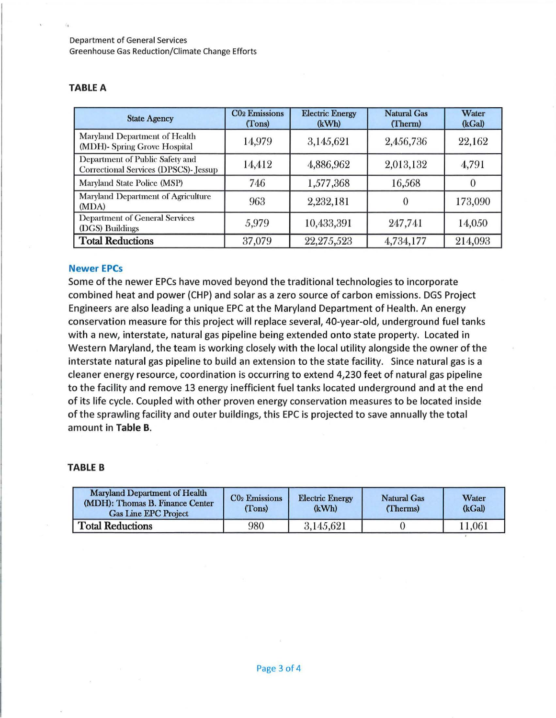Department of General Services Greenhouse Gas Reduction/Climate Change Efforts

#### TABLE A

| <b>State Agency</b>                                                      | <b>CO<sub>2</sub></b> Emissions<br>(Tons) | <b>Electric Energy</b><br>(kWh) | <b>Natural Gas</b><br>(Therm) | Water<br>(kGal) |
|--------------------------------------------------------------------------|-------------------------------------------|---------------------------------|-------------------------------|-----------------|
| Maryland Department of Health<br>(MDH)- Spring Grove Hospital            | 14,979                                    | 3,145,621                       | 2,456,736                     | 22,162          |
| Department of Public Safety and<br>Correctional Services (DPSCS)- Jessup | 14,412                                    | 4,886,962                       | 2,013,132                     | 4,791           |
| Maryland State Police (MSP)                                              | 746                                       | 1,577,368                       | 16,568                        |                 |
| Maryland Department of Agriculture<br>(MDA)                              | 963                                       | 2,232,181                       |                               | 173,090         |
| <b>Department of General Services</b><br>(DGS) Buildings                 | 5,979                                     | 10,433,391                      | 247,741                       | 14,050          |
| <b>Total Reductions</b>                                                  | 37,079                                    | 22,275,523                      | 4,734,177                     | 214,093         |

#### Newer EPCs

Some of the newer EPCs have moved beyond the traditional technologies to incorporate combined heat and power (CHP) and solar as a zero source of carbon emissions. DGS Project Engineers are also leading a unique EPC at the Maryland Department of Health. An energy conservation measure for this project will replace several, 40-year-old, underground fuel tanks with a new, interstate, natural gas pipeline being extended onto state property. Located in Western Maryland, the team is working closely with the local utility alongside the owner of the interstate natural gas pipeline to build an extension to the state facility. Since natural gas is a cleaner energy resource, coordination is occurring to extend 4,230 feet of natural gas pipeline to the facility and remove 13 energy inefficient fuel tanks located underground and at the end of its life cycle. Coupled with other proven energy conservation measures to be located inside of the sprawling facility and outer buildings, this EPC is projected to save annually the total amount in Table B.

#### TABLE B

| Maryland Department of Health<br>(MDH): Thomas B. Finance Center<br><b>Gas Line EPC Project</b> | $C02$ Emissions<br>(Tons) | <b>Electric Energy</b><br>(kWh) | <b>Natural Gas</b><br>(Therms) | Water<br>(kGal) |
|-------------------------------------------------------------------------------------------------|---------------------------|---------------------------------|--------------------------------|-----------------|
| <b>Total Reductions</b>                                                                         | 980                       | 3,145,621                       |                                | 11,061          |